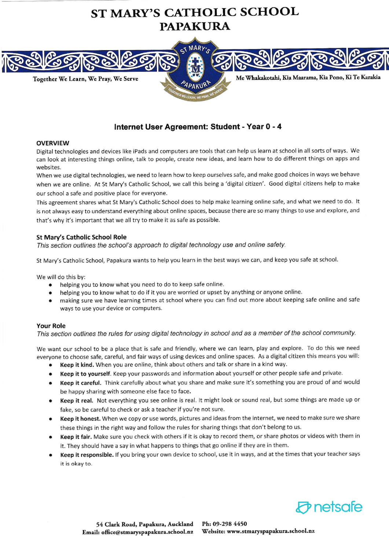



# Internet User Agreement: Student - Year 0 - 4

#### **OVERVIEW**

Digital technologies and devices like iPads and computers are tools that can help us learn at school in all sorts of ways, We can look at interesting things online, talk to people, create new ideas, and learn how to do different things on apps and websites.

When we use digital technologies, we need to learn how to keep ourselves safe, and make good choices in ways we behave when we are online. At St Mary's Catholic School, we call this being a 'digital citizen'. Good digital citizens help to make our school a safe and positive place for everyone.

This agreement shares what St Mary's Catholic School does to help make learning online safe, and what we need to do. lt is not always easy to understand everything about online spaces, because there are so many things to use and explore, and that's why it's important that we all try to make it as safe as possible.

### St Mary's Catholic School Role

This section outlines the school's approach to digital technology use and online safety.

5t Mary's Catholic School, Papakura wants to help you learn in the best ways we can, and keep you safe at school.

We will do this by:

- . helping you to know what you need to do to keep safe online.
- . helping you to know what to do if it you are worried or upset by anything or anyone online.
- . making sure we have learning times at school where you can find out more about keeping safe online and safe ways to use your device or computers.

# Your Role

This section outlines the rules for using digital technology in school and as a member of the school community.

We want our school to be a place that is safe and friendly, where we can learn, play and explore, To do this we need everyone to choose safe, careful, and fair ways of using devices and online spaces. As a digital citizen this means you will:

- . Keep it kind. When you are online, think about others and talk or share in a kind way-
- . Keep it to yourself, Keep your passwords and information about yourself or other people safe and private.
- Keep it careful. Think carefully about what you share and make sure it's something you are proud of and would be happy sharing with someone else face to face.
- . Keep it real. Not everything you see online is real. lt might look or sound real, but some things are made up or fake, so be careful to check or ask a teacher if you're not sure.
- . Keep it honest. When we copy or use words, pictures and ideas from the internet, we need to make sure we share these things in the right way and follow the rules for sharing things that don't belong to us.
- . Keep it fair. Make sure you check with others if it is okay to record them, or share photos or videos with them in it. They should have a say in what happens to things that go online if they are in them.
- Keep it responsible. If you bring your own device to school, use it in ways, and at the times that your teacher says it is okay to.